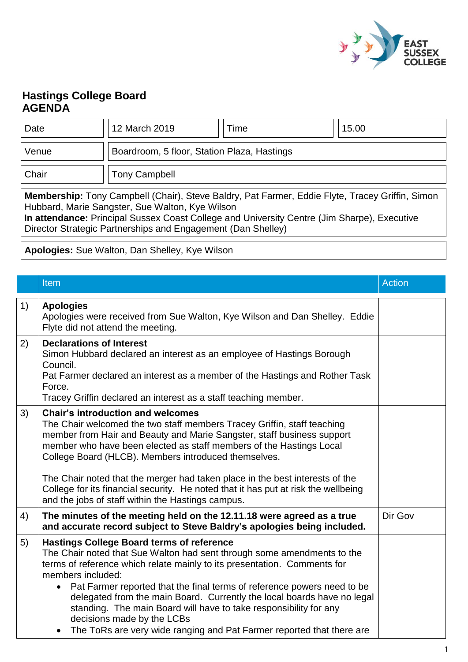

## **Hastings College Board AGENDA**

| Date                                                                                                                                                                                                                                                                                                              | 12 March 2019                               | Time | 15.00 |  |
|-------------------------------------------------------------------------------------------------------------------------------------------------------------------------------------------------------------------------------------------------------------------------------------------------------------------|---------------------------------------------|------|-------|--|
| Venue                                                                                                                                                                                                                                                                                                             | Boardroom, 5 floor, Station Plaza, Hastings |      |       |  |
| Chair                                                                                                                                                                                                                                                                                                             | <b>Tony Campbell</b>                        |      |       |  |
| Membership: Tony Campbell (Chair), Steve Baldry, Pat Farmer, Eddie Flyte, Tracey Griffin, Simon<br>Hubbard, Marie Sangster, Sue Walton, Kye Wilson<br>In attendance: Principal Sussex Coast College and University Centre (Jim Sharpe), Executive<br>Director Strategic Partnerships and Engagement (Dan Shelley) |                                             |      |       |  |

**Apologies:** Sue Walton, Dan Shelley, Kye Wilson

|    | Item                                                                                                                                                                                                                                                                                                                                                                                                                                                                                                                                                           | <b>Action</b> |
|----|----------------------------------------------------------------------------------------------------------------------------------------------------------------------------------------------------------------------------------------------------------------------------------------------------------------------------------------------------------------------------------------------------------------------------------------------------------------------------------------------------------------------------------------------------------------|---------------|
| 1) | <b>Apologies</b><br>Apologies were received from Sue Walton, Kye Wilson and Dan Shelley. Eddie<br>Flyte did not attend the meeting.                                                                                                                                                                                                                                                                                                                                                                                                                            |               |
| 2) | <b>Declarations of Interest</b><br>Simon Hubbard declared an interest as an employee of Hastings Borough<br>Council.<br>Pat Farmer declared an interest as a member of the Hastings and Rother Task<br>Force.<br>Tracey Griffin declared an interest as a staff teaching member.                                                                                                                                                                                                                                                                               |               |
| 3) | <b>Chair's introduction and welcomes</b><br>The Chair welcomed the two staff members Tracey Griffin, staff teaching<br>member from Hair and Beauty and Marie Sangster, staff business support<br>member who have been elected as staff members of the Hastings Local<br>College Board (HLCB). Members introduced themselves.<br>The Chair noted that the merger had taken place in the best interests of the<br>College for its financial security. He noted that it has put at risk the wellbeing<br>and the jobs of staff within the Hastings campus.        |               |
| 4) | The minutes of the meeting held on the 12.11.18 were agreed as a true<br>and accurate record subject to Steve Baldry's apologies being included.                                                                                                                                                                                                                                                                                                                                                                                                               | Dir Gov       |
| 5) | <b>Hastings College Board terms of reference</b><br>The Chair noted that Sue Walton had sent through some amendments to the<br>terms of reference which relate mainly to its presentation. Comments for<br>members included:<br>Pat Farmer reported that the final terms of reference powers need to be<br>delegated from the main Board. Currently the local boards have no legal<br>standing. The main Board will have to take responsibility for any<br>decisions made by the LCBs<br>The ToRs are very wide ranging and Pat Farmer reported that there are |               |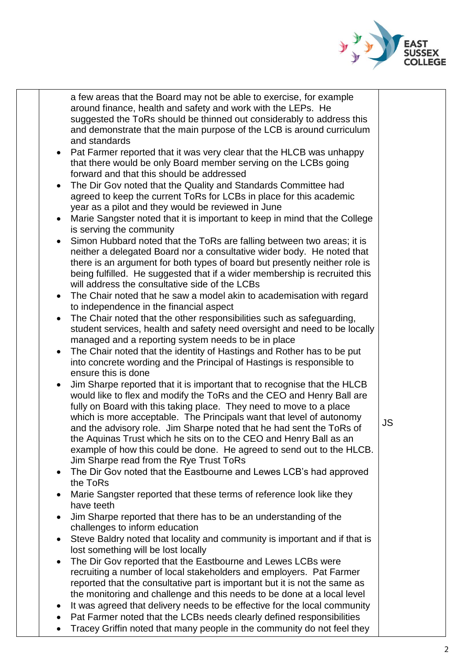

|           | a few areas that the Board may not be able to exercise, for example        |           |
|-----------|----------------------------------------------------------------------------|-----------|
|           | around finance, health and safety and work with the LEPs. He               |           |
|           | suggested the ToRs should be thinned out considerably to address this      |           |
|           | and demonstrate that the main purpose of the LCB is around curriculum      |           |
|           | and standards                                                              |           |
| $\bullet$ | Pat Farmer reported that it was very clear that the HLCB was unhappy       |           |
|           | that there would be only Board member serving on the LCBs going            |           |
|           | forward and that this should be addressed                                  |           |
| $\bullet$ | The Dir Gov noted that the Quality and Standards Committee had             |           |
|           | agreed to keep the current ToRs for LCBs in place for this academic        |           |
|           | year as a pilot and they would be reviewed in June                         |           |
| $\bullet$ | Marie Sangster noted that it is important to keep in mind that the College |           |
|           | is serving the community                                                   |           |
| $\bullet$ | Simon Hubbard noted that the ToRs are falling between two areas; it is     |           |
|           | neither a delegated Board nor a consultative wider body. He noted that     |           |
|           | there is an argument for both types of board but presently neither role is |           |
|           | being fulfilled. He suggested that if a wider membership is recruited this |           |
|           | will address the consultative side of the LCBs                             |           |
| $\bullet$ | The Chair noted that he saw a model akin to academisation with regard      |           |
|           | to independence in the financial aspect                                    |           |
| $\bullet$ | The Chair noted that the other responsibilities such as safeguarding,      |           |
|           | student services, health and safety need oversight and need to be locally  |           |
|           | managed and a reporting system needs to be in place                        |           |
| $\bullet$ | The Chair noted that the identity of Hastings and Rother has to be put     |           |
|           | into concrete wording and the Principal of Hastings is responsible to      |           |
|           | ensure this is done                                                        |           |
|           | Jim Sharpe reported that it is important that to recognise that the HLCB   |           |
|           | would like to flex and modify the ToRs and the CEO and Henry Ball are      |           |
|           | fully on Board with this taking place. They need to move to a place        |           |
|           | which is more acceptable. The Principals want that level of autonomy       | <b>JS</b> |
|           | and the advisory role. Jim Sharpe noted that he had sent the ToRs of       |           |
|           | the Aquinas Trust which he sits on to the CEO and Henry Ball as an         |           |
|           | example of how this could be done. He agreed to send out to the HLCB.      |           |
|           | Jim Sharpe read from the Rye Trust ToRs                                    |           |
| ٠         | The Dir Gov noted that the Eastbourne and Lewes LCB's had approved         |           |
|           | the ToRs                                                                   |           |
|           | Marie Sangster reported that these terms of reference look like they       |           |
|           | have teeth                                                                 |           |
| $\bullet$ | Jim Sharpe reported that there has to be an understanding of the           |           |
|           | challenges to inform education                                             |           |
| $\bullet$ | Steve Baldry noted that locality and community is important and if that is |           |
|           | lost something will be lost locally                                        |           |
| ٠         | The Dir Gov reported that the Eastbourne and Lewes LCBs were               |           |
|           | recruiting a number of local stakeholders and employers. Pat Farmer        |           |
|           | reported that the consultative part is important but it is not the same as |           |
|           | the monitoring and challenge and this needs to be done at a local level    |           |
| ٠         | It was agreed that delivery needs to be effective for the local community  |           |
|           | Pat Farmer noted that the LCBs needs clearly defined responsibilities      |           |
|           | Tracey Griffin noted that many people in the community do not feel they    |           |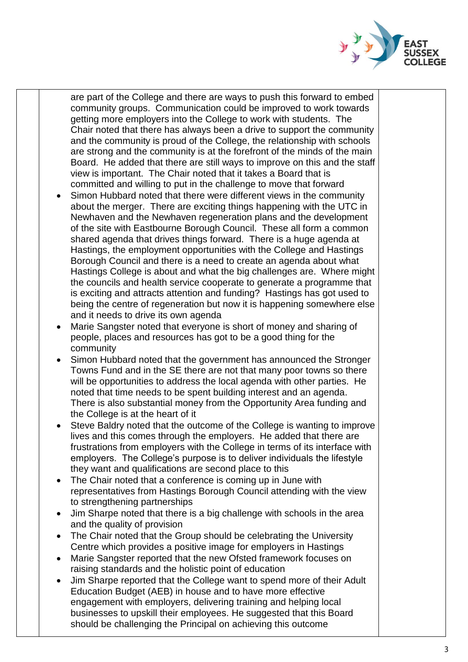

are part of the College and there are ways to push this forward to embed community groups. Communication could be improved to work towards getting more employers into the College to work with students. The Chair noted that there has always been a drive to support the community and the community is proud of the College, the relationship with schools are strong and the community is at the forefront of the minds of the main Board. He added that there are still ways to improve on this and the staff view is important. The Chair noted that it takes a Board that is committed and willing to put in the challenge to move that forward

- Simon Hubbard noted that there were different views in the community about the merger. There are exciting things happening with the UTC in Newhaven and the Newhaven regeneration plans and the development of the site with Eastbourne Borough Council. These all form a common shared agenda that drives things forward. There is a huge agenda at Hastings, the employment opportunities with the College and Hastings Borough Council and there is a need to create an agenda about what Hastings College is about and what the big challenges are. Where might the councils and health service cooperate to generate a programme that is exciting and attracts attention and funding? Hastings has got used to being the centre of regeneration but now it is happening somewhere else and it needs to drive its own agenda
- Marie Sangster noted that everyone is short of money and sharing of people, places and resources has got to be a good thing for the community
- Simon Hubbard noted that the government has announced the Stronger Towns Fund and in the SE there are not that many poor towns so there will be opportunities to address the local agenda with other parties. He noted that time needs to be spent building interest and an agenda. There is also substantial money from the Opportunity Area funding and the College is at the heart of it
- Steve Baldry noted that the outcome of the College is wanting to improve lives and this comes through the employers. He added that there are frustrations from employers with the College in terms of its interface with employers. The College's purpose is to deliver individuals the lifestyle they want and qualifications are second place to this
- The Chair noted that a conference is coming up in June with representatives from Hastings Borough Council attending with the view to strengthening partnerships
- Jim Sharpe noted that there is a big challenge with schools in the area and the quality of provision
- The Chair noted that the Group should be celebrating the University Centre which provides a positive image for employers in Hastings
- Marie Sangster reported that the new Ofsted framework focuses on raising standards and the holistic point of education
- Jim Sharpe reported that the College want to spend more of their Adult Education Budget (AEB) in house and to have more effective engagement with employers, delivering training and helping local businesses to upskill their employees. He suggested that this Board should be challenging the Principal on achieving this outcome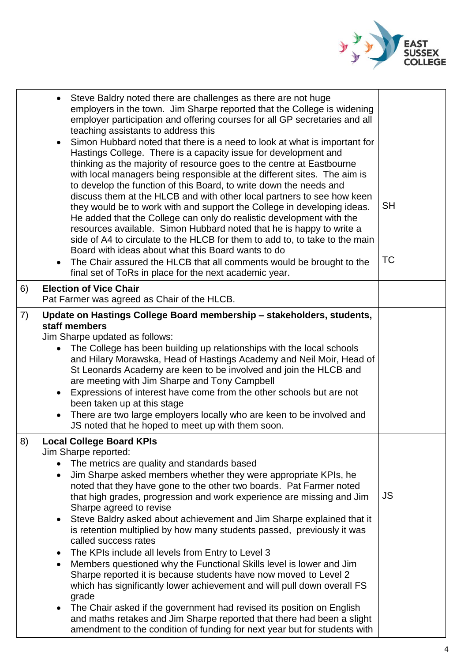

|    | Steve Baldry noted there are challenges as there are not huge<br>employers in the town. Jim Sharpe reported that the College is widening<br>employer participation and offering courses for all GP secretaries and all<br>teaching assistants to address this<br>Simon Hubbard noted that there is a need to look at what is important for<br>Hastings College. There is a capacity issue for development and<br>thinking as the majority of resource goes to the centre at Eastbourne<br>with local managers being responsible at the different sites. The aim is<br>to develop the function of this Board, to write down the needs and<br>discuss them at the HLCB and with other local partners to see how keen<br>they would be to work with and support the College in developing ideas.<br>He added that the College can only do realistic development with the<br>resources available. Simon Hubbard noted that he is happy to write a<br>side of A4 to circulate to the HLCB for them to add to, to take to the main<br>Board with ideas about what this Board wants to do<br>The Chair assured the HLCB that all comments would be brought to the<br>final set of ToRs in place for the next academic year. | <b>SH</b><br><b>TC</b> |
|----|----------------------------------------------------------------------------------------------------------------------------------------------------------------------------------------------------------------------------------------------------------------------------------------------------------------------------------------------------------------------------------------------------------------------------------------------------------------------------------------------------------------------------------------------------------------------------------------------------------------------------------------------------------------------------------------------------------------------------------------------------------------------------------------------------------------------------------------------------------------------------------------------------------------------------------------------------------------------------------------------------------------------------------------------------------------------------------------------------------------------------------------------------------------------------------------------------------------------|------------------------|
| 6) | <b>Election of Vice Chair</b><br>Pat Farmer was agreed as Chair of the HLCB.                                                                                                                                                                                                                                                                                                                                                                                                                                                                                                                                                                                                                                                                                                                                                                                                                                                                                                                                                                                                                                                                                                                                         |                        |
| 7) | Update on Hastings College Board membership - stakeholders, students,<br>staff members<br>Jim Sharpe updated as follows:<br>The College has been building up relationships with the local schools<br>and Hilary Morawska, Head of Hastings Academy and Neil Moir, Head of<br>St Leonards Academy are keen to be involved and join the HLCB and<br>are meeting with Jim Sharpe and Tony Campbell<br>Expressions of interest have come from the other schools but are not<br>$\bullet$<br>been taken up at this stage<br>There are two large employers locally who are keen to be involved and<br>JS noted that he hoped to meet up with them soon.                                                                                                                                                                                                                                                                                                                                                                                                                                                                                                                                                                    |                        |
| 8) | <b>Local College Board KPIs</b><br>Jim Sharpe reported:<br>The metrics are quality and standards based<br>Jim Sharpe asked members whether they were appropriate KPIs, he<br>$\bullet$<br>noted that they have gone to the other two boards. Pat Farmer noted<br>that high grades, progression and work experience are missing and Jim<br>Sharpe agreed to revise<br>Steve Baldry asked about achievement and Jim Sharpe explained that it<br>$\bullet$<br>is retention multiplied by how many students passed, previously it was<br>called success rates<br>The KPIs include all levels from Entry to Level 3<br>$\bullet$<br>Members questioned why the Functional Skills level is lower and Jim<br>Sharpe reported it is because students have now moved to Level 2<br>which has significantly lower achievement and will pull down overall FS<br>grade<br>The Chair asked if the government had revised its position on English<br>$\bullet$<br>and maths retakes and Jim Sharpe reported that there had been a slight<br>amendment to the condition of funding for next year but for students with                                                                                                              | <b>JS</b>              |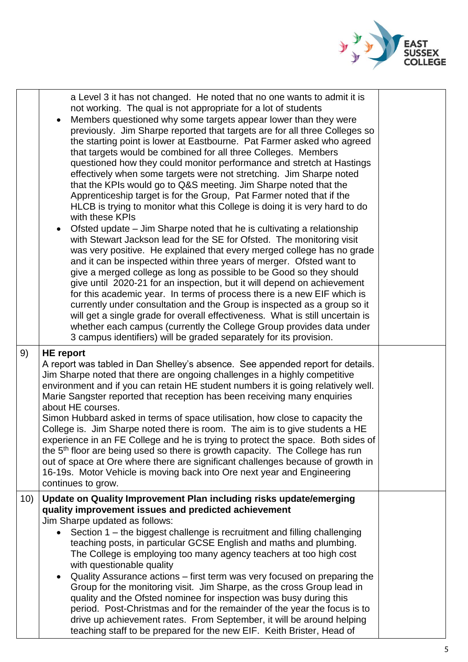

| 9)  | a Level 3 it has not changed. He noted that no one wants to admit it is<br>not working. The qual is not appropriate for a lot of students<br>Members questioned why some targets appear lower than they were<br>previously. Jim Sharpe reported that targets are for all three Colleges so<br>the starting point is lower at Eastbourne. Pat Farmer asked who agreed<br>that targets would be combined for all three Colleges. Members<br>questioned how they could monitor performance and stretch at Hastings<br>effectively when some targets were not stretching. Jim Sharpe noted<br>that the KPIs would go to Q&S meeting. Jim Sharpe noted that the<br>Apprenticeship target is for the Group, Pat Farmer noted that if the<br>HLCB is trying to monitor what this College is doing it is very hard to do<br>with these KPIs<br>Ofsted update – Jim Sharpe noted that he is cultivating a relationship<br>with Stewart Jackson lead for the SE for Ofsted. The monitoring visit<br>was very positive. He explained that every merged college has no grade<br>and it can be inspected within three years of merger. Ofsted want to<br>give a merged college as long as possible to be Good so they should<br>give until 2020-21 for an inspection, but it will depend on achievement<br>for this academic year. In terms of process there is a new EIF which is<br>currently under consultation and the Group is inspected as a group so it<br>will get a single grade for overall effectiveness. What is still uncertain is<br>whether each campus (currently the College Group provides data under<br>3 campus identifiers) will be graded separately for its provision.<br><b>HE</b> report |  |  |
|-----|------------------------------------------------------------------------------------------------------------------------------------------------------------------------------------------------------------------------------------------------------------------------------------------------------------------------------------------------------------------------------------------------------------------------------------------------------------------------------------------------------------------------------------------------------------------------------------------------------------------------------------------------------------------------------------------------------------------------------------------------------------------------------------------------------------------------------------------------------------------------------------------------------------------------------------------------------------------------------------------------------------------------------------------------------------------------------------------------------------------------------------------------------------------------------------------------------------------------------------------------------------------------------------------------------------------------------------------------------------------------------------------------------------------------------------------------------------------------------------------------------------------------------------------------------------------------------------------------------------------------------------------------------------------------------------------------------|--|--|
|     | A report was tabled in Dan Shelley's absence. See appended report for details.<br>Jim Sharpe noted that there are ongoing challenges in a highly competitive<br>environment and if you can retain HE student numbers it is going relatively well.<br>Marie Sangster reported that reception has been receiving many enquiries<br>about HE courses.<br>Simon Hubbard asked in terms of space utilisation, how close to capacity the<br>College is. Jim Sharpe noted there is room. The aim is to give students a HE<br>experience in an FE College and he is trying to protect the space. Both sides of<br>the 5 <sup>th</sup> floor are being used so there is growth capacity. The College has run<br>out of space at Ore where there are significant challenges because of growth in<br>16-19s. Motor Vehicle is moving back into Ore next year and Engineering<br>continues to grow.                                                                                                                                                                                                                                                                                                                                                                                                                                                                                                                                                                                                                                                                                                                                                                                                              |  |  |
| 10) | Update on Quality Improvement Plan including risks update/emerging<br>quality improvement issues and predicted achievement<br>Jim Sharpe updated as follows:<br>Section 1 – the biggest challenge is recruitment and filling challenging<br>teaching posts, in particular GCSE English and maths and plumbing.<br>The College is employing too many agency teachers at too high cost<br>with questionable quality<br>Quality Assurance actions – first term was very focused on preparing the<br>$\bullet$<br>Group for the monitoring visit. Jim Sharpe, as the cross Group lead in<br>quality and the Ofsted nominee for inspection was busy during this<br>period. Post-Christmas and for the remainder of the year the focus is to<br>drive up achievement rates. From September, it will be around helping<br>teaching staff to be prepared for the new EIF. Keith Brister, Head of                                                                                                                                                                                                                                                                                                                                                                                                                                                                                                                                                                                                                                                                                                                                                                                                             |  |  |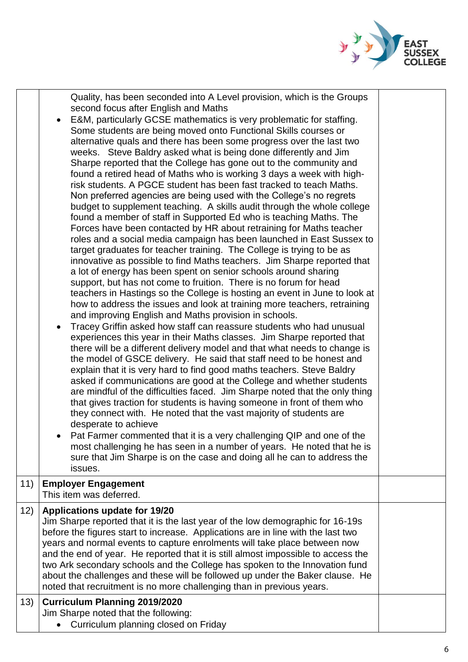

Quality, has been seconded into A Level provision, which is the Groups second focus after English and Maths

- E&M, particularly GCSE mathematics is very problematic for staffing. Some students are being moved onto Functional Skills courses or alternative quals and there has been some progress over the last two weeks. Steve Baldry asked what is being done differently and Jim Sharpe reported that the College has gone out to the community and found a retired head of Maths who is working 3 days a week with highrisk students. A PGCE student has been fast tracked to teach Maths. Non preferred agencies are being used with the College's no regrets budget to supplement teaching. A skills audit through the whole college found a member of staff in Supported Ed who is teaching Maths. The Forces have been contacted by HR about retraining for Maths teacher roles and a social media campaign has been launched in East Sussex to target graduates for teacher training. The College is trying to be as innovative as possible to find Maths teachers. Jim Sharpe reported that a lot of energy has been spent on senior schools around sharing support, but has not come to fruition. There is no forum for head teachers in Hastings so the College is hosting an event in June to look at how to address the issues and look at training more teachers, retraining and improving English and Maths provision in schools. Tracey Griffin asked how staff can reassure students who had unusual
- experiences this year in their Maths classes. Jim Sharpe reported that there will be a different delivery model and that what needs to change is the model of GSCE delivery. He said that staff need to be honest and explain that it is very hard to find good maths teachers. Steve Baldry asked if communications are good at the College and whether students are mindful of the difficulties faced. Jim Sharpe noted that the only thing that gives traction for students is having someone in front of them who they connect with. He noted that the vast majority of students are desperate to achieve
- Pat Farmer commented that it is a very challenging QIP and one of the most challenging he has seen in a number of years. He noted that he is sure that Jim Sharpe is on the case and doing all he can to address the issues.

## 11) **Employer Engagement**

This item was deferred. 12) **Applications update for 19/20** Jim Sharpe reported that it is the last year of the low demographic for 16-19s before the figures start to increase. Applications are in line with the last two years and normal events to capture enrolments will take place between now and the end of year. He reported that it is still almost impossible to access the two Ark secondary schools and the College has spoken to the Innovation fund about the challenges and these will be followed up under the Baker clause. He noted that recruitment is no more challenging than in previous years. 13) **Curriculum Planning 2019/2020**

Jim Sharpe noted that the following:

• Curriculum planning closed on Friday